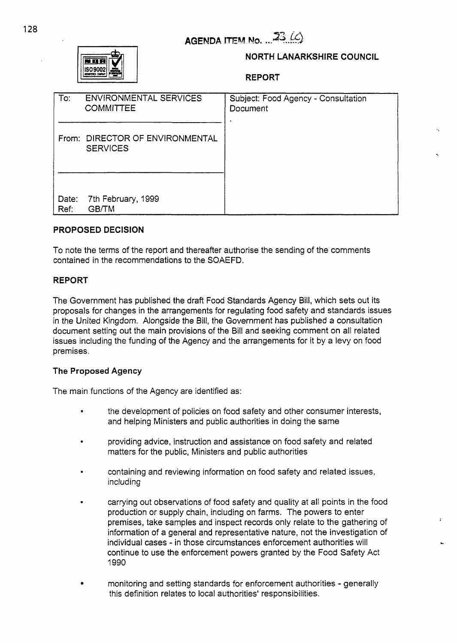

# **NORTH LANARKSHIRE COUNCIL**

**REPORT** 

| To:           | <b>ENVIRONMENTAL SERVICES</b><br><b>COMMITTEE</b>  | Subject: Food Agency - Consultation<br>Document |
|---------------|----------------------------------------------------|-------------------------------------------------|
|               | From: DIRECTOR OF ENVIRONMENTAL<br><b>SERVICES</b> |                                                 |
| Date:<br>Ref: | 7th February, 1999<br><b>GB/TM</b>                 |                                                 |

# **PROPOSED DECISION**

To note the terms of the report and thereafter authorise the sending of the comments contained in the recommendations to the SOAEFD.

### **REPORT**

The Government has published the draft Food Standards Agency Bill, which sets out its proposals for changes in the arrangements for regulating food safety and standards issues in the United Kingdom. Alongside the Bill, the Government has published a consultation document setting out the main provisions of the Bill and seeking comment on all related issues including the funding of the Agency and the arrangements for it by a levy on food premises .

#### **The Proposed Agency**

The main functions of the Agency are identified as:

- the development of policies on food safety and other consumer interests, and helping Ministers and public authorities in doing the same
- *<sup>0</sup>*providing advice, instruction and assistance on food safety and related matters for the public, Ministers and public authorities
- . containing and reviewing information on food safety and related issues, including
- . carrying out observations of food safety and quality at all points in the food production or supply chain, including on farms. The powers to enter premises, take samples and inspect records only relate to the gathering of information of a general and representative nature, not the investigation of individual cases - in those circumstances enforcement authorities will continue to use the enforcement powers granted by the Food Safety Act 1990

**L** 

**<sup>b</sup>**monitoring and setting standards for enforcement authorities - generally this definition relates to local authorities' responsibilities.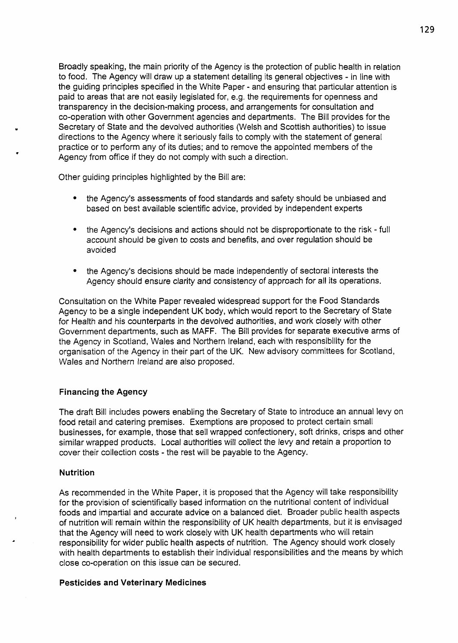Broadly speaking, the main priority of the Agency is the protection of public health in relation to food. The Agency will draw up a statement detailing its general objectives - in line with the guiding principles specified in the White Paper - and ensuring that particular attention is paid to areas that are not easily legislated for, e.g. the requirements for openness and transparency in the decision-making process, and arrangements for consultation and co-operation with other Government agencies and departments. The Bill provides for the Secretary of State and the devolved authorities (Welsh and Scottish authorities) to issue directions to the Agency where it seriously fails to comply with the statement of general practice or to perform any of its duties; and to remove the appointed members of the Agency from office if they do not comply with such a direction.

Other guiding principles highlighted by the Bill are:

- the Agency's assessments of food standards and safety should be unbiased and based on best available scientific advice, provided by independent experts
- the Agency's decisions and actions should not be disproportionate to the risk full account should be given to costs and benefits, and over regulation should be avoided
- the Agency's decisions should be made independently of sectoral interests the Agency should ensure clarity and consistency of approach for all its operations.

Consultation on the White Paper revealed widespread support for the Food Standards Agency to be a single independent UK body, which would report to the Secretary of State for Health and his counterparts in the devolved authorities, and work closely with other Government departments, such as MAFF. The Bill provides for separate executive arms of the Agency in Scotland, Wales and Northern Ireland, each with responsibility for the organisation of the Agency in their part of the UK. New advisory committees for Scotland, Wales and Northern Ireland are also proposed.

#### **Financing the Agency**

The draft Bill includes powers enabling the Secretary of State to introduce an annual levy on food retail and catering premises. Exemptions are proposed to protect certain small businesses, for example, those that sell wrapped confectionery, soft drinks, crisps and other similar wrapped products. Local authorities will collect the levy and retain a proportion to cover their collection costs - the rest will be payable to the Agency.

### **Nutrition**

As recommended in the White Paper, it is proposed that the Agency will take responsibility for the provision of scientifically based information on the nutritional content of individual foods and impartial and accurate advice on a balanced diet. Broader public health aspects of nutrition will remain within the responsibility of UK health departments, but it is envisaged that the Agency will need to work closely with UK health departments who will retain responsibility for wider public health aspects of nutrition. The Agency should work closely with health departments to establish their individual responsibilities and the means by which close co-operation on this issue can be secured.

#### **Pesticides and Veterinary Medicines**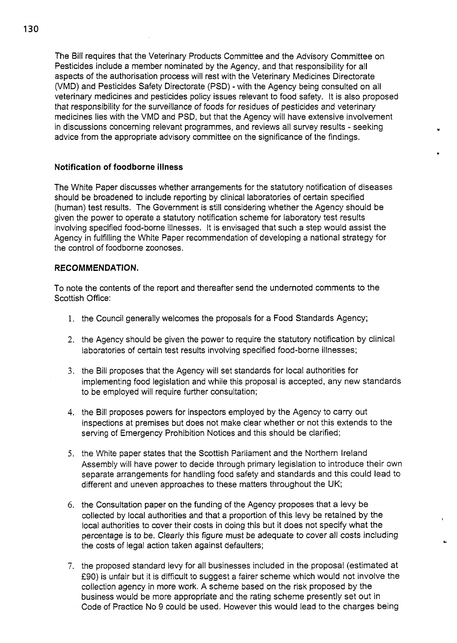The Bill requires that the Veterinary Products Committee and the Advisory Committee on Pesticides include a member nominated by the Agency, and that responsibility for all aspects of the authorisation process will rest with the Veterinary Medicines Directorate (VMD) and Pesticides Safety Directorate (PSD) - with the Agency being consulted on all veterinary medicines and pesticides policy issues relevant to food safety. It is also proposed that responsibility for the surveillance *of* foods for residues of pesticides and veterinary medicines lies with the VMD and PSD, but that the Agency will have extensive involvement in discussions concerning relevant programmes, and reviews all survey results - seeking advice from the appropriate advisory committee on the significance of the findings.

# **Notification of foodborne illness**

The White Paper discusses whether arrangements for the statutory notification of diseases should be broadened to include reporting by clinical laboratories of certain specified (human) test results. The Government is still considering whether the Agency should be given the power to operate a statutory notification scheme for laboratory test results involving specified food-borne illnesses. It is envisaged that such a step would assist the Agency in fulfilling the White Paper recommendation of developing a national strategy for the control of foodborne zoonoses.

### **RECOMMENDATION.**

To note the contents of the report and thereafter send the undernoted comments to the Scottish Office:

- 1. the Council generally welcomes the proposals for a Food Standards Agency;
- 2. the Agency should be given the power to require the statutory notification by clinical laboratories of certain test results involving specified food-borne illnesses;
- 3. the Bill proposes that the Agency will set standards for local authorities for implementing food legislation and while this proposal is accepted, any new standards to be employed will require further consultation;
- 4. the Bill proposes powers for inspectors employed by the Agency to carry out inspections at premises but does not make clear whether or not this extends to the serving of Emergency Prohibition Notices and this should be clarified;
- *5.* the White paper states that the Scottish Parliament and the Northern Ireland Assembly will have power to decide through primary legislation to introduce their own separate arrangements for handling food safety and standards and this could lead to different and uneven approaches to these matters throughout the UK;
- 6. the Consultation paper on the funding of the Agency proposes that a levy be collected by local authorities and that a proportion of this levy be retained by the local authorities to cover their costs in doing this but it does not specify what the percentage is to be. Clearly this figure must be adequate to cover all costs including the costs of legal action taken against defaulters;
- 7. the proposed standard levy for all businesses included in the proposal (estimated at **f90)** is unfair but it is difficult to suggest a fairer scheme which would not involve the collection agency in more work. A scheme based on the risk proposed by the business would be more appropriate and the rating scheme presently set out in Code of Practice No 9 could be used. However this would lead to the charges being